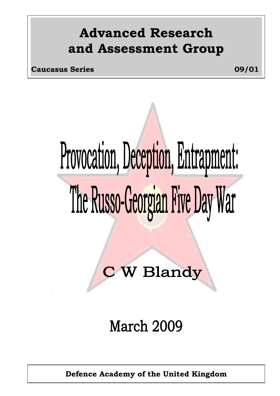## **Advanced Research and Assessment Group**

**Caucasus Series 09/01**

# Provocation, Deception, Entrapment: The Russo-Georgian Five Day War

# **C W Blandy**

## **March 2009**

**Defence Academy of the United Kingdom**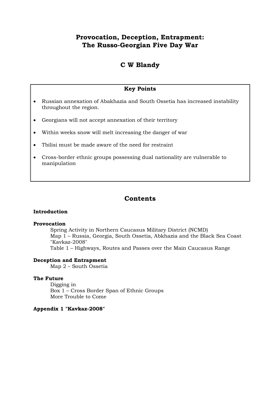#### **Provocation, Deception, Entrapment: The Russo-Georgian Five Day War**

#### **C W Blandy**

#### **Key Points**

- Russian annexation of Abakhazia and South Ossetia has increased instability throughout the region.
- Georgians will not accept annexation of their territory
- Within weeks snow will melt increasing the danger of war
- Tbilisi must be made aware of the need for restraint
- Cross-border ethnic groups possessing dual nationality are vulnerable to manipulation

#### **Contents**

#### **Introduction**

#### **Provocation**

Spring Activity in Northern Caucasus Military District (NCMD) Map 1 – Russia, Georgia, South Ossetia, Abkhazia and the Black Sea Coast "Kavkaz-2008" Table 1 – Highways, Routes and Passes over the Main Caucasus Range

#### **Deception and Entrapment**

Map 2 – South Ossetia

#### **The Future**

Digging in Box 1 – Cross Border Span of Ethnic Groups More Trouble to Come

#### **Appendix 1 "Kavkaz-2008"**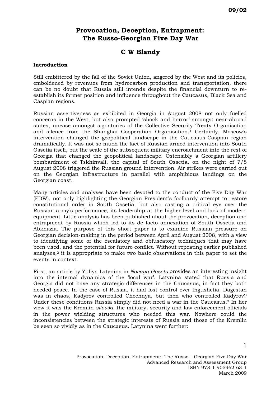#### **Provocation, Deception, Entrapment: The Russo-Georgian Five Day War**

#### **C W Blandy**

#### **Introduction**

Still embittered by the fall of the Soviet Union, angered by the West and its policies, emboldened by revenues from hydrocarbon production and transportation, there can be no doubt that Russia still intends despite the financial downturn to reestablish its former position and influence throughout the Caucasus, Black Sea and Caspian regions.

Russian assertiveness as exhibited in Georgia in August 2008 not only fuelled concerns in the West, but also prompted 'shock and horror' amongst near-abroad states, unease amongst signatories of the Collective Security Treaty Organisation and silence from the Shanghai Cooperation Organisation.[1](#page-14-0) Certainly, Moscow's intervention changed the geopolitical landscape in the Caucasus-Caspian region dramatically. It was not so much the fact of Russian armed intervention into South Ossetia itself, but the scale of the subsequent military encroachment into the rest of Georgia that changed the geopolitical landscape. Ostensibly a Georgian artillery bombardment of Tskhinvali, the capital of South Ossetia, on the night of 7/8 August 2008 triggered the Russian ground intervention. Air strikes were carried out on the Georgian infrastructure in parallel with amphibious landings on the Georgian coast.

Many articles and analyses have been devoted to the conduct of the Five Day War (FDW), not only highlighting the Georgian President's foolhardy attempt to restore constitutional order in South Ossetia, but also casting a critical eye over the Russian army's performance, its leadership at the higher level and lack of modern equipment. Little analysis has been published about the provocation, deception and entrapment by Russia which led to its de facto annexation of South Ossetia and Abkhazia. The purpose of this short paper is to examine Russian pressure on Georgian decision-making in the period between April and August 2008, with a view to identifying some of the escalatory and obfuscatory techniques that may have been used, and the potential for future conflict. Without repeating earlier published analyses,[2](#page-14-1) it is appropriate to make two basic observations in this paper to set the events in context.

First, an article by Yuliya Latynina in *Novaya Gazeta* provides an interesting insight into the internal dynamics of the 'local war'. Latynina stated that Russia and Georgia did not have any strategic differences in the Caucasus, in fact they both needed peace. In the case of Russia, it had lost control over Ingushetia, Dagestan was in chaos, Kadyrov controlled Chechnya, but then who controlled Kadyrov? Under these conditions Russia simply did not need a war in the Caucasus.[3](#page-14-2) In her view it was the Kremlin *siloviki,* the military, security and law enforcement officials in the power wielding structures who needed this war. Nowhere could the inconsistencies between the strategic interests of Russia and those of the Kremlin be seen so vividly as in the Caucasus. Latynina went further: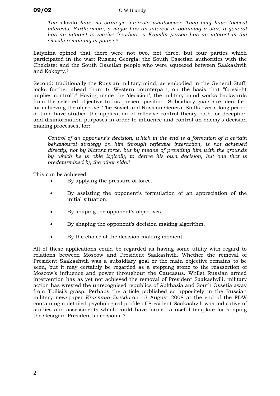*The* siloviki *have no strategic interests whatsoever. They only have tactical interests. Furthermore, a major has an interest in obtaining a star, a general has an interest to receive 'readies', a Kremlin person has an interest in the siloviki remaining in power*.[4](#page-14-3)

Latynina opined that there were not two, not three, but four parties which participated in the war: Russia; Georgia; the South Ossetian authorities with the Chekists; and the South Ossetian people who were squeezed between Saakashvili and Kokoyty.[5](#page-14-4)

Second: traditionally the Russian military mind, as embodied in the General Staff, looks further ahead than its Western counterpart, on the basis that "foresight implies control".[6](#page-14-5) Having made the 'decision', the military mind works backwards from the selected objective to his present position. Subsidiary goals are identified for achieving the objective. The Soviet and Russian General Staffs over a long period of time have studied the application of reflexive control theory both for deception and disinformation purposes in order to influence and control an enemy's decision making processes, for:

*Control of an opponent's decision, which in the end is a formation of a certain behavioural strategy on him through reflexive interaction, is not achieved directly, not by blatant force, but by means of providing him with the grounds by which he is able logically to derive his own decision, but one that is predetermined by the other side*.[7](#page-14-6)

This can be achieved:

- By applying the pressure of force.
- By assisting the opponent's formulation of an appreciation of the initial situation.
- By shaping the opponent's objectives.
- By shaping the opponent's decision making algorithm.
- By the choice of the decision making moment.

All of these applications could be regarded as having some utility with regard to relations between Moscow and President Saakashvili. Whether the removal of President Saakashvili was a subsidiary goal or the main objective remains to be seen, but it may certainly be regarded as a stepping stone to the reassertion of Moscow's influence and power throughout the Caucasus. Whilst Russian armed intervention has as yet not achieved the removal of President Saakashvili, military action has wrested the unrecognised republics of Abkhazia and South Ossetia away from Tbilisi's grasp. Perhaps the article published so appositely in the Russian military newspaper *Krasnaya Zvezda* on 13 August 2008 at the end of the FDW containing a detailed psychological profile of President Saakashvili was indicative of studies and assessments which could have formed a useful template for shaping the Georgian President's decisions. [8](#page-14-7)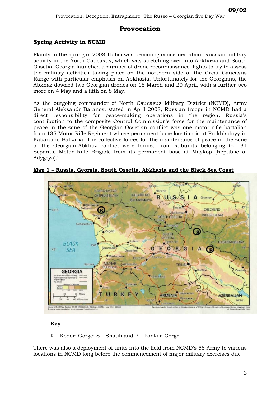#### **Spring Activity in NCMD**

Plainly in the spring of 2008 Tbilisi was becoming concerned about Russian military activity in the North Caucasus, which was stretching over into Abkhazia and South Ossetia. Georgia launched a number of drone reconnaissance flights to try to assess the military activities taking place on the northern side of the Great Caucasus Range with particular emphasis on Abkhazia. Unfortunately for the Georgians, the Abkhaz downed two Georgian drones on 18 March and 20 April, with a further two more on 4 May and a fifth on 8 May.

As the outgoing commander of North Caucasus Military District (NCMD), Army General Aleksandr Baranov, stated in April 2008, Russian troops in NCMD had a direct responsibility for peace-making operations in the region. Russia's contribution to the composite Control Commission's force for the maintenance of peace in the zone of the Georgian-Ossetian conflict was one motor rifle battalion from 135 Motor Rifle Regiment whose permanent base location is at Prokhladnyy in Kabardino-Balkaria. The collective forces for the maintenance of peace in the zone of the Georgian-Abkhaz conflict were formed from subunits belonging to 131 Separate Motor Rifle Brigade from its permanent base at Maykop (Republic of Adygeya).[9](#page-14-8)



**Map 1 – Russia, Georgia, South Ossetia, Abkhazia and the Black Sea Coast**

#### **Key**

K – Kodori Gorge; S – Shatili and P – Pankisi Gorge.

There was also a deployment of units into the field from NCMD's 58 Army to various locations in NCMD long before the commencement of major military exercises due

**09/02**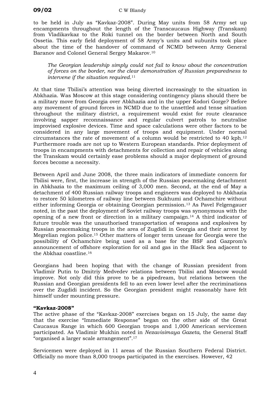to be held in July as "Kavkaz-2008". During May units from 58 Army set up encampments throughout the length of the Transcaucaus Highway (Transkam) from Vladikavkaz to the Roki tunnel on the border between North and South Ossetia. This early field deployment of 58 Army's units and subunits took place about the time of the handover of command of NCMD between Army General Baranov and Colonel General Sergey Makarov.[10](#page-14-9)

*The Georgian leadership simply could not fail to know about the concentration of forces on the border, nor the clear demonstration of Russian preparedness to intervene if the situation required*.[11](#page-14-10)

At that time Tbilisi's attention was being diverted increasingly to the situation in Abkhazia. Was Moscow at this stage considering contingency plans should there be a military move from Georgia over Abkhazia and in the upper Kodori Gorge? Before any movement of ground forces in NCMD due to the unsettled and tense situation throughout the military district, a requirement would exist for route clearance involving sapper reconnaissance and regular culvert patrols to neutralise improvised explosive devices. Time and space calculations were other factors to be considered in any large movement of troops and equipment. Under normal circumstances the rate of movement of a column would be restricted to 40 kph.[12](#page-14-11) Furthermore roads are not up to Western European standards. Prior deployment of troops in encampments with detachments for collection and repair of vehicles along the Transkam would certainly ease problems should a major deployment of ground forces become a necessity.

Between April and June 2008, the three main indicators of immediate concern for Tbilisi were, first, the increase in strength of the Russian peacemaking detachment in Abkhazia to the maximum ceiling of 3,000 men. Second, at the end of May a detachment of 400 Russian railway troops and engineers was deployed to Abkhazia to restore 50 kilometres of railway line between Sukhumi and Ochamchire without either informing Georgia or obtaining Georgian permission.[13](#page-14-12) As Pavel Felgengauer noted, in the past the deployment of Soviet railway troops was synonymous with the opening of a new front or direction in a military campaign.[14](#page-14-13) A third indicator of future trouble was the unauthorised transportation of weapons and explosives by Russian peacemaking troops in the area of Zugdidi in Georgia and their arrest by Megrelian region police.[15](#page-14-14) Other matters of longer term unease for Georgia were the possibility of Ochamchire being used as a base for the BSF and Gazprom's announcement of offshore exploration for oil and gas in the Black Sea adjacent to the Abkhaz coastline.[16](#page-14-15)

Georgians had been hoping that with the change of Russian president from Vladimir Putin to Dmitriy Medvedev relations between Tbilisi and Moscow would improve. Not only did this prove to be a pipedream, but relations between the Russian and Georgian presidents fell to an even lower level after the recriminations over the Zugdidi incident. So the Georgian president might reasonably have felt himself under mounting pressure.

#### **"Kavkaz-2008"**

The active phase of the "Kavkaz-2008" exercises began on 15 July, the same day that the exercise "Immediate Response" began on the other side of the Great Caucasus Range in which 600 Georgian troops and 1,000 American servicemen participated. As Vladimir Mukhin noted in *Nezavisimaya Gazeta,* the General Staff "organised a larger scale arrangement".[17](#page-14-16)

Servicemen were deployed in 11 areas of the Russian Southern Federal District. Officially no more than 8,000 troops participated in the exercises. However, 42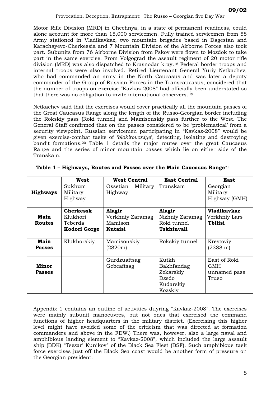Motor Rifle Division (MRD) in Chechnya, in a state of permanent readiness, could alone account for more than 15,000 servicemen. Fully trained servicemen from 58 Army stationed in Vladikavkaz, two mountain brigades based in Dagestan and Karachayevo-Cherkessia and 7 Mountain Division of the Airborne Forces also took part. Subunits from 76 Airborne Division from Pskov were flown to Mozdok to take part in the same exercise. From Volgograd the assault regiment of 20 motor rifle division (MRD) was also dispatched to Krasnodar kray.[18](#page-14-17) Federal border troops and internal troops were also involved. Retired Lieutenant General Yuriy Netkachev, who had commanded an army in the North Caucasus and was later a deputy commander of the Group of Russian Forces in the Transcaucasus, considered that the number of troops on exercise "Kavkaz-2008" had officially been understated so that there was no obligation to invite international observers. [19](#page-14-18)

Netkachev said that the exercises would cover practically all the mountain passes of the Great Caucasus Range along the length of the Russo-Georgian border including the Rokskiy pass (Roki tunnel) and Mamisonskiy pass further to the West. The General Staff confirmed that on the passes considered to be 'problematical' from a security viewpoint, Russian servicemen participating in "Kavkaz-2008" would be given exercise-combat tasks of '*blokirovaniye*', detecting, isolating and destroying bandit formations.[20](#page-14-19) Table 1 details the major routes over the great Caucasus Range and the series of minor mountain passes which lie on either side of the Transkam.

|                        | West                                                    | <b>West Central</b>                              | <b>East Central</b>                                               | East                                                  |
|------------------------|---------------------------------------------------------|--------------------------------------------------|-------------------------------------------------------------------|-------------------------------------------------------|
| <b>Highways</b>        | Sukhum<br>Military<br>Highway                           | Ossetian<br>Military<br>Highway                  | Transkam                                                          | Georgian<br>Military<br>Highway (GMH)                 |
| Main<br><b>Routes</b>  | <b>Cherkessk</b><br>Klukhori<br>Teberda<br>Kodori Gorge | Alagir<br>Verkhniy Zaramag<br>Mamison<br>Kutaisi | Alagir<br>Nizhniy Zaramag<br>Roki tunnel<br>Tskhinvali            | <b>Vladikavkaz</b><br>Verkhniy Lars<br><b>Thilisi</b> |
| Main<br><b>Passes</b>  | Klukhorskiy                                             | Mamisonskiy<br>(2820m)                           | Rokskiy tunnel                                                    | Krestoviy<br>$(2388 \text{ m})$                       |
| Minor<br><b>Passes</b> |                                                         | Gurdzuaftsag<br>Gebeaftsag                       | Kutkh<br>Bakhfandag<br>Zekarskiy<br>Dzedo<br>Kudarskiy<br>Kozskiy | East of Roki<br><b>GMH</b><br>unnamed pass<br>Truso   |

**Table 1 – Highways, Routes and Passes over the Main Caucasus Range**[21](#page-14-20)

Appendix 1 contains an outline of activities duyring "Kavkaz-2008". The exercises were mainly subunit manoeuvres, but not ones that exercised the command functions of higher headquarters in the military district. (Exercising this higher level might have avoided some of the criticism that was directed at formation commanders and above in the FDW.) There was, however, also a large naval and amphibious landing element to "Kavkaz-2008", which included the large assault ship (BDK) "Tsezar' Kunikov" of the Black Sea Fleet (BSF). Such amphibious task force exercises just off the Black Sea coast would be another form of pressure on the Georgian president.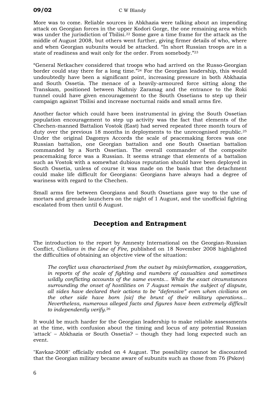More was to come. Reliable sources in Abkhazia were talking about an impending attack on Georgian forces in the upper Kodori Gorge, the one remaining area which was under the jurisdiction of Tbilisi.<sup>22</sup> Some gave a time frame for the attack as the middle of August 2008, but others went further, giving firmer details of who, where and when Georgian subunits would be attacked. "In short Russian troops are in a state of readiness and wait only for the order. From somebody."[23](#page-14-22)

"General Netkachev considered that troops who had arrived on the Russo-Georgian border could stay there for a long time."[24](#page-14-23) For the Georgian leadership, this would undoubtedly have been a significant point, increasing pressure in both Abkhazia and South Ossetia. The menace of a heavily-armoured force sitting along the Transkam, positioned between Nizhniy Zaramag and the entrance to the Roki tunnel could have given encouragement to the South Ossetians to step up their campaign against Tbilisi and increase nocturnal raids and small arms fire.

Another factor which could have been instrumental in giving the South Ossetian population encouragement to step up activity was the fact that elements of the Chechen-manned Battalion Vostok (East) had served repeated three month tours of duty over the previous 18 months in deployments to the unrecognised republic.[25](#page-14-24) Under the original Dagomys Accords the scale of peacemaking forces was one Russian battalion, one Georgian battalion and one South Ossetian battalion commanded by a North Ossetian. The overall commander of the composite peacemaking force was a Russian. It seems strange that elements of a battalion such as Vostok with a somewhat dubious reputation should have been deployed in South Ossetia, unless of course it was made on the basis that the detachment could make life difficult for Georgians: Georgians have always had a degree of wariness with regard to the Chechen.

Small arms fire between Georgians and South Ossetians gave way to the use of mortars and grenade launchers on the night of 1 August, and the unofficial fighting escalated from then until 6 August.

### **Deception and Entrapment**

The introduction to the report by Amnesty International on the Georgian-Russian Conflict, *Civilians in the Line of Fire,* published on 18 November 2008 highlighted the difficulties of obtaining an objective view of the situation:

*The conflict was characterised from the outset by misinformation, exaggeration, in reports of the scale of fighting and numbers of casualties and sometimes wildly conflicting accounts of the same events... While the exact circumstances surrounding the onset of hostilities on 7 August remain the subject of dispute, all sides have declared their actions to be "defensive" even when civilians on the other side have born [sic] the brunt of their military operations... Nevertheless, numerous alleged facts and figures have been extremely difficult to independently verify*.[26](#page-14-25)

It would be much harder for the Georgian leadership to make reliable assessments at the time, with confusion about the timing and locus of any potential Russian 'attack' – Abkhazia or South Ossetia? – though they had long expected such an event.

"Kavkaz-2008" officially ended on 4 August. The possibility cannot be discounted that the Georgian military became aware of subunits such as those from 76 (Pskov)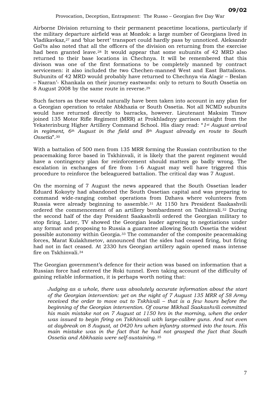Airborne Division returning to their permanent peacetime locations, particularly if the military departure airfield was at Mozdok: a large number of Georgians lived in Vladikavkaz,[27](#page-14-26) and 'blue beret' transport could hardly pass by unnoticed. Aleksandr Gol'ts also noted that all the officers of the division on returning from the exercise had been granted leave.[28](#page-14-27) It would appear that some subunits of 42 MRD also returned to their base locations in Chechnya. It will be remembered that this divison was one of the first formations to be completely manned by contract servicemen: it also included the two Chechen-manned West and East Battalions. Subunits of 42 MRD would probably have returned to Chechnya via Alagir – Beslan – Nazran'- Khankala on their journey eastwards: only to return to South Ossetia on 8 August 2008 by the same route in reverse.[29](#page-14-28)

Such factors as these would naturally have been taken into account in any plan for a Georgian operation to retake Abkhazia or South Ossetia. Not all NCMD subunits would have returned directly to barracks, however. Lieutenant Maksim Timov joined 135 Motor Rifle Regiment (MRR) at Prokhladnyy garrison straight from the Yekaterinburg Higher Artillery Command School. His diary read: "*1st August arrival in regiment, 6th August in the field and 8th August already en route to South Ossetia*".[30](#page-14-29)

With a battalion of 500 men from 135 MRR forming the Russian contribution to the peacemaking force based in Tskhinvali, it is likely that the parent regiment would have a contingency plan for reinforcement should matters go badly wrong. The escalation in exchanges of fire from 1-6 August may well have triggered this procedure to reinforce the beleaguered battalion. The critical day was 7 August.

On the morning of 7 August the news appeared that the South Ossetian leader Eduard Kokoyty had abandoned the South Ossetian capital and was preparing to command wide-ranging combat operations from Dzhava where volunteers from Russia were already beginning to assemble.[31](#page-14-30) At 1150 hrs President Saakashvili ordered the commencement of an artillery bombardment on Tskhinvali.[32](#page-14-31) During the second half of the day President Saakashvili ordered the Georgian military to stop firing. Later, TV showed the Georgian leader agreeing to negotiations under any format and proposing to Russia a guarantee allowing South Ossetia the widest possible autonomy within Georgia.[33](#page-14-32) The commander of the composite peacemaking forces, Marat Kulakhmetov, announced that the sides had ceased firing, but firing had not in fact ceased. At 2330 hrs Georgian artillery again opened mass intense fire on Tskhinvali.[34](#page-14-33)

The Georgian government's defence for their action was based on information that a Russian force had entered the Roki tunnel. Even taking account of the difficulty of gaining reliable information, it is perhaps worth noting that:

*Judging as a whole, there was absolutely accurate information about the start of the Georgian intervention: yet on the night of 7 August 135 MRR of 58 Army received the order to move out to Tskhivali – that is a few hours before the beginning of the Georgian intervention. Of course Mikhail Saakashvili committed his main mistake not on 7 August at 1150 hrs in the morning, when the order was issued to begin firing on Tskhinvali with large-calibre guns. And not even at daybreak on 8 August, at 0420 hrs when infantry stormed into the town. His main mistake was in the fact that he had not grasped the fact that South Ossetia and Abkhazia were self-sustaining*. [35](#page-14-34)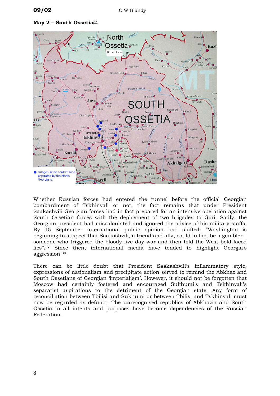#### **Map 2 – South Ossetia**[36](#page-14-35)



Whether Russian forces had entered the tunnel before the official Georgian bombardment of Tskhinvali or not, the fact remains that under President Saakashvili Georgian forces had in fact prepared for an intensive operation against South Ossetian forces with the deployment of two brigades to Gori. Sadly, the Georgian president had miscalculated and ignored the advice of his military staffs. By 15 September international public opinion had shifted: "Washington is beginning to suspect that Saakashvili, a friend and ally, could in fact be a gambler – someone who triggered the bloody five day war and then told the West bold-faced lies"*.*[37](#page-14-36) Since then, international media have tended to highlight Georgia's aggression.[38](#page-14-37)

There can be little doubt that President Saakashvili's inflammatory style, expressions of nationalism and precipitate action served to remind the Abkhaz and South Ossetians of Georgian 'imperialism'. However, it should not be forgotten that Moscow had certainly fostered and encouraged Sukhumi's and Tskhinvali's separatist aspirations to the detriment of the Georgian state. Any form of reconciliation between Tbilisi and Sukhumi or between Tbilisi and Tskhinvali must now be regarded as defunct. The unrecognised republics of Abkhazia and South Ossetia to all intents and purposes have become dependencies of the Russian Federation.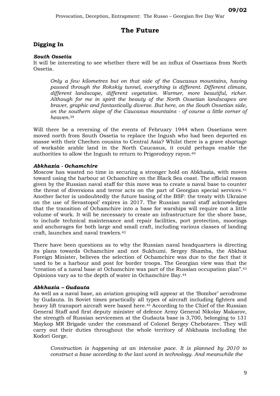#### **The Future**

#### **Digging In**

#### *South Ossetia*

It will be interesting to see whether there will be an influx of Ossetians from North Ossetia.

*Only a few kilometres but on that side of the Caucasus mountains, having passed through the Rokskiy tunnel, everything is different. Different climate, different landscape, different vegetation. Warmer, more beautiful, richer. Although for me in spirit the beauty of the North Ossetian landscapes are braver, graphic and fantastically diverse. But here, on the South Ossetian side, on the southern slope of the Caucasus mountains - of course a little corner of heaven*.[39](#page-14-38)

Will there be a reversing of the events of February 1944 when Ossetians were moved north from South Ossetia to replace the Ingush who had been deported en masse with their Chechen cousins to Central Asia? Whilst there is a grave shortage of workable arable land in the North Caucasus, it could perhaps enable the authorities to allow the Ingush to return to Prigorodnyy rayon.[40](#page-14-39)

#### *Abkhazia - Ochamchire*

Moscow has wasted no time in securing a stronger hold on Abkhazia, with moves toward using the harbour at Ochamchire on the Black Sea coast. The official reason given by the Russian naval staff for this move was to create a naval base to counter the threat of diversions and terror acts on the part of Georgian special services.[41](#page-14-40) Another factor is undoubtedly the future basing of the BSF: the treaty with Ukraine on the use of Sevastopol' expires in 2017. The Russian naval staff acknowledges that the transition of Ochamchire into a base for warships will require not a little volume of work. It will be necessary to create an infrastructure for the shore base, to include technical maintenance and repair facilities, port protection, moorings and anchorages for both large and small craft, including various classes of landing craft, launches and naval trawlers.[42](#page-14-41)

There have been questions as to why the Russian naval headquarters is directing its plans towards Ochamchire and not Sukhumi. Sergey Shamba, the Abkhaz Foreign Minister, believes the selection of Ochamchire was due to the fact that it used to be a harbour and post for border troops. The Georgian view was that the "creation of a naval base at Ochamchire was part of the Russian occupation plan".[43](#page-14-42) Opinions vary as to the depth of water in Ochamchire Bay.[44](#page-14-43)

#### *Abkhazia – Gudauta*

As well as a naval base, an aviation grouping will appear at the 'Bombor' aerodrome by Gudauta. In Soviet times practically all types of aircraft including fighters and heavy lift transport aircraft were based here.<sup>45</sup> According to the Chief of the Russian General Staff and first deputy minister of defence Army General Nikolay Makarov, the strength of Russian servicemen at the Gudauta base is 3,700, belonging to 131 Maykop MR Brigade under the command of Colonel Sergey Chebotarev. They will carry out their duties throughout the whole territory of Abkhazia including the Kodori Gorge.

*Construction is happening at an intensive pace. It is planned by 2010 to construct a base according to the last word in technology. And meanwhile the*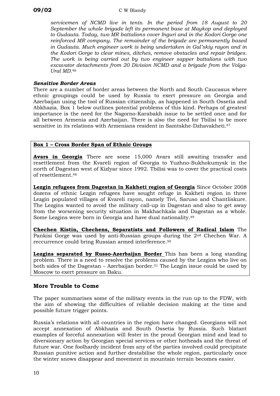*servicemen of NCMD live in tents. In the period from 18 August to 20 September the whole brigade left its permanent base at Maykop and deployed to Gudauta. Today, two MR battalions cover Inguri and in the Kodori Gorge one reinforced MR company. The remainder of the brigade are permanently based in Gudauta. Much engineer work is being undertaken in Gal'skiy rayon and in the Kodori Gorge to clear mines, ditches, remove obstacles and repair bridges. The work is being carried out by two engineer sapper battalions with two excavator detachments from 20 Division NCMD and a brigade from the Volga-Ural MD.*[46](#page-14-45)

#### *Sensitive Border Areas*

There are a number of border areas between the North and South Caucasus where ethnic groupings could be used by Russia to exert pressure on Georgia and Azerbaijan using the tool of Russian citizenship, as happened in South Ossetia and Abkhazia. Box 1 below outlines potential problems of this kind. Perhaps of greatest importance is the need for the Nagorno-Karabakh issue to be settled once and for all between Armenia and Azerbaijan. There is also the need for Tbilisi to be more sensitive in its relations with Armenians resident in Samtskhe-Dzhavakheti.[47](#page-14-46)

#### **Box 1 – Cross Border Span of Ethnic Groups**

**Avars in Georgia** There are some 15,000 Avars still awaiting transfer and resettlement from the Kvareli region of Georgia to Yuzhno-Sukhokumysk in the north of Dagestan west of Kizlyar since 1992. Tbilisi was to cover the practical costs of resettlement.[48](#page-14-47)

**Lezgin refugees from Dagestan in Kakheti region of Georgia** Since October 2008 dozens of ethnic Lezgin refugees have sought refuge in Kakheti region in three Lezgin populated villages of Kvareli rayon, namely Tivi, Saruso and Chantliskure. The Lezgins wanted to avoid the military call-up in Dagestan and also to get away from the worsening security situation in Makhachkala and Dagestan as a whole. Some Lezgins were born in Georgia and have dual nationality.[49](#page-14-18)

**Chechen Kistin, Chechens, Separatists and Followers of Radical Islam** The Pankisi Gorge was used by anti-Russian groups during the 2nd Chechen War. A reccurrence could bring Russian armed interference.[50](#page-14-21)

**Lezgins separated by Russo-Azerbaijan Border** This has been a long standing problem. There is a need to resolve the problems caused by the Lezgins who live on both sides of the Dagestan – Azerbaijan border.[51](#page-14-22) The Lezgin issue could be used by Moscow to exert pressure on Baku.

#### **More Trouble to Come**

The paper summarises some of the military events in the run up to the FDW, with the aim of showing the difficulties of reliable decision making at the time and possible future trigger points.

Russia's relations with all countries in the region have changed. Georgians will not accept annexation of Abkhazia and South Ossetia by Russia. Such blatant examples of forceful annexation will fester in the proud Georgian mind and lead to diversionary action by Georgian special services or other hotheads and the threat of future war. One foolhardy incident from any of the parties involved could precipitate Russian punitive action and further destabilise the whole region, particularly once the winter snows disappear and movement in mountain terrain becomes easier.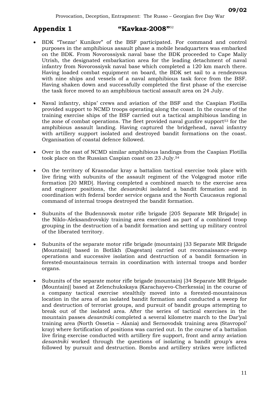#### **Appendix 1 "Kavkaz-2008"**[52](#page-14-23)

- BDK "Tsezar' Kunikov" of the BSF participated. For command and control purposes in the amphibious assault phase a mobile headquarters was embarked on the BDK. From Novorossiysk naval base the BDK proceeded to Cape Maliy Utrish, the designated embarkation area for the leading detachment of naval infantry from Novorossiysk naval base which completed a 120 km march there. Having loaded combat equipment on board, the BDK set sail to a rendezvous with nine ships and vessels of a naval amphibious task force from the BSF. Having shaken down and successfully completed the first phase of the exercise the task force moved to an amphibious tactical assault area on 24 July.
- Naval infantry, ships' crews and aviation of the BSF and the Caspian Flotilla provided support to NCMD troops operating along the coast. In the course of the training exercise ships of the BSF carried out a tactical amphibious landing in the zone of combat operations. The fleet provided naval gunfire support[53](#page-14-24) for the amphibious assault landing. Having captured the bridgehead, naval infantry with artillery support isolated and destroyed bandit formations on the coast. Organisation of coastal defence followed.
- Over in the east of NCMD similar amphibious landings from the Caspian Flotilla took place on the Russian Caspian coast on 23 July.[54](#page-14-48)
- On the territory of Krasnodar kray a battalion tactical exercise took place with live firing with subunits of the assault regiment of the Volgograd motor rifle formation [20 MRD]. Having completed a combined march to the exercise area and engineer positions, the *desantniki* isolated a bandit formation and in coordination with federal border service organs and the North Caucasus regional command of internal troops destroyed the bandit formation.
- Subunits of the Budennovsk motor rifle brigade [205 Separate MR Brigade] in the Niklo-Aleksandrovskiy training area exercised as part of a combined troop grouping in the destruction of a bandit formation and setting up military control of the liberated territory.
- Subunits of the separate motor rifle brigade (mountain) [33 Separate MR Brigade (Mountain)] based in Botlikh (Dagestan) carried out reconnaissance-sweep operations and successive isolation and destruction of a bandit formation in forested-mountainous terrain in coordination with internal troops and border organs.
- Subunits of the separate motor rifle brigade (mountain) [34 Separate MR Brigade (Mountain)] based at Zelenchukskaya (Karachayevo-Cherkessia] in the course of a company tactical exercise stealthily moved into a forested-mountainous location in the area of an isolated bandit formation and conducted a sweep for and destruction of terrorist groups, and pursuit of bandit groups attempting to break out of the isolated area. After the series of tactical exercises in the mountain passes *desantniki* completed a several kilometre march to the Dar'yal training area (North Ossetia – Alania) and Sernovodsk training area (Stavropol' kray) where fortification of positions was carried out. In the course of a battalion live firing exercise conducted with artillery fire support, front and army aviation *desantniki* worked through the questions of isolating a bandit group's area followed by pursuit and destruction. Bombs and artillery strikes were inflicted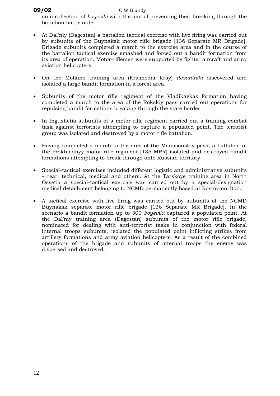#### **09/02** C W Blandy

on a collection of *boyeviki* with the aim of preventing their breaking through the battalion battle order.

- At Dal'niy (Dagestan) a battalion tactical exercise with live firing was carried out by subunits of the Buynaksk motor rifle brigade [136 Separate MR Brigade]. Brigade subunits completed a march to the exercise area and in the course of the battalion tactical exercise smashed and forced out a bandit formation from its area of operation. Motor-riflemen were supported by fighter aircraft and army aviation helicopters.
- On the Molkino training area (Krasnodar kray) *desantniki* discovered and isolated a large bandit formation in a forest area.
- Subunits of the motor rifle regiment of the Vladikavkaz formation having completed a march to the area of the Rokskiy pass carried out operations for repulsing bandit formations breaking through the state border.
- In Ingushetia subunits of a motor rifle regiment carried out a training combat task against terrorists attempting to capture a populated point. The terrorist group was isolated and destroyed by a motor rifle battalion.
- Having completed a march to the area of the Mamisonskiy pass, a battalion of the Prokhladnyy motor rifle regiment [135 MRR] isolated and destroyed bandit formations attempting to break through onto Russian territory.
- Special-tactical exercises included different logistic and administrative subunits – rear, technical, medical and others. At the Tarskoye training area in North Ossetia a special-tactical exercise was carried out by a special-designation medical detachment belonging to NCMD permanently based at Rostov-on-Don.
- A tactical exercise with live firing was carried out by subunits of the NCMD Buynaksk separate motor rifle brigade [136 Separate MR Brigade]. In the scenario a bandit formation up to 300 *boyeviki* captured a populated point. At the Dal'niy training area (Dagestan) subunits of the motor rifle brigade, nominated for dealing with anti-terrorist tasks in conjunction with federal internal troops subunits, isolated the populated point inflicting strikes from artillery formations and army aviation helicopters. As a result of the combined operations of the brigade and subunits of internal troops the enemy was dispersed and destroyed.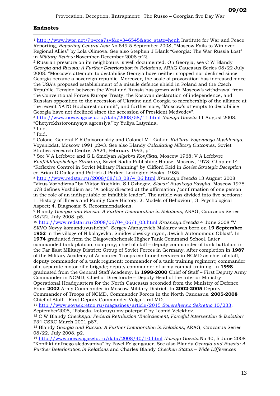#### **Endnotes**

<span id="page-14-44"></span><span id="page-14-15"></span><span id="page-14-14"></span><span id="page-14-0"></span> $\overline{a}$ <sup>1</sup> [http://www.iwpr.net/?p=rca7s=f&o=346545&apc\\_state=henh](http://www.iwpr.net/?p=rca7s=f&o=346545&apc_state=henh) Institute for War and Peace Reporting, *Reporting Central Asia* No 549 5 September 2008, "Moscow Fails to Win over Regional Allies" by Lola Olimova. See also Stephen J Blank "Georgia: The War Russia Lost" in *Military Review* November-December 2008 p42.

<span id="page-14-47"></span><span id="page-14-46"></span><span id="page-14-45"></span><span id="page-14-19"></span><span id="page-14-18"></span><span id="page-14-17"></span><span id="page-14-16"></span><span id="page-14-1"></span>2 Russian pressure on its neighbours is well documented. On Georgia, see C W Blandy *Georgia and Russia: A Further Deterioration in Relations*, ARAG Caucasus Series 08/22 July 2008: "Moscow's attempts to destabilise Georgia have neither stopped nor declined since Georgia became a sovereign republic. Moreover, the scale of provocation has increased since the USA's proposed establishment of a missile defence shield in Poland and the Czech Republic. Tension between the West and Russia has grown with Moscow's withdrawal from the Conventional Forces Europe Treaty, the Kosovan declaration of independence, and Russian opposition to the accession of Ukraine and Georgia to membership of the alliance at the recent NATO Bucharest summit", and furthermore, "Moscow's attempts to destabilise Georgia have not declined since the accession of President Medvedev".

<span id="page-14-22"></span><span id="page-14-21"></span><span id="page-14-20"></span><span id="page-14-2"></span><sup>3</sup> <http://www.novayagazeta.ru/data/2008/58/11.html> *Novaya Gazeta* 11 August 2008. "Chetyrekhstoronnyaya agressiya*"* by Yuliya Latynina. 4 Ibid.

<span id="page-14-23"></span><span id="page-14-3"></span>

<span id="page-14-4"></span>5 Ibid.

<span id="page-14-24"></span><span id="page-14-5"></span>6 Colonel General F F Gaivoronskiy and Colonel M I Galkin *Kul'tura Voyennogo Myshleniya*, Voyenizdat, Moscow 1991 p243. See also Blandy *Calculating Military Outcomes*, Soviet Studies Research Centre, AA24, February 1993, p11.

<span id="page-14-48"></span><span id="page-14-26"></span><span id="page-14-25"></span><span id="page-14-6"></span>7 See V A Lefebvre and G L Smolyan *Algebra Konflikta*, Moscow 1968; V A Lefebvre *Konflikhtuyshchiye Struktury,* Soviet Radio Publishing House, Moscow, 1973; Chapter 14 "Reflexive Control in Soviet Military Planning" by Clifford Reid in *Soviet Strategic Deception* ed Brian D Dailey and Patrick J Parker, Lexington Books, 1985.

<span id="page-14-29"></span><span id="page-14-28"></span><span id="page-14-27"></span><span id="page-14-7"></span><sup>8</sup> [http://www.redstar.ru/2008/08/13\\_08/4\\_06.html](http://www.redstar.ru/2008/08/13_08/4_06.html) *Krasnaya Zvezda* 13 August 2008 "Virus Vozhdizma*"* by Viktor Ruchkin. S I Ozhegov, *Slovar' Russkogo Yazyka*, Moscow 1978 p78 defines Vozhdism as: "A policy directed at the affirmation /confirmation of one person in the role of an indisputable or infallible leader". The article was divided into five sections: 1. History of Illness and Family Case-History; 2. Models of Behaviour; 3. Psychological Aspect; 4. Diagnosis; 5. Recommendations.

<span id="page-14-31"></span><span id="page-14-30"></span><span id="page-14-8"></span>9 Blandy *Georgia and Russia: A Further Deterioration in Relations*, ARAG, Caucasus Series 08/22, July 2008, p5.

<span id="page-14-33"></span><span id="page-14-32"></span><span id="page-14-9"></span><sup>10</sup> [http://www.redstar.ru/2008/06/04\\_06/1\\_03.html](http://www.redstar.ru/2008/06/04_06/1_03.html) *Krasnaya Zvezda* 4 June 2008 "V SKVO Novyy komanduyushchiy". Sergey Afanayevich Makarov was born on **19 September 1952** in the village of Nikolayevka, Smidovicheskiy rayon, Jewish Autonomous Oblast'. In

<span id="page-14-37"></span><span id="page-14-36"></span><span id="page-14-35"></span><span id="page-14-34"></span>**1974** graduated from the Blagoveshchensk Higher Tank Command School. Later commanded tank platoon, company; chief of staff – deputy commander of tank battalion in the Far East Military District; Group of Soviet Forces in Germany. After completion in **1987** of the Military Academy of Armoured Troops continued services in NCMD as chief of staff, deputy commander of a tank regiment; commander of a tank training regiment; commander of a separate motor rifle brigade; deputy commander of army combat training. In **1998** graduated from the General Staff Academy. In **1998-2000** Chief of Staff – First Deputy Army Commander in NCMD; Chief of Directorate – Deputy Head of the Interior Ministry Operational Headquarters for the North Caucasus seconded from the Ministry of Defence. From **2002** Army Commander in Moscow Military District. In **2002-2005** Deputy Commander of Troops of NCMD, Commander Forces in the North Caucasus. **2005-2008** Chief of Staff – First Deputy Commander Volga-Ural MD.

<span id="page-14-10"></span><sup>11</sup> [http://www.sovsekretno.ru/magazines/article/2015](http://www.sovsekretno.ru/magazines/article/2015 Sovershenno Sekretno 10/233) *Sovershenno Sekretno* 10/233, September2008, "Pobeda, kotoruyu my poterpeli" by Leonid Velekhov.

<span id="page-14-38"></span><span id="page-14-11"></span>12 C W Blandy *Chechnya: Federal Retribution 'Encirclement, Forceful Intervention & Isolation'* P34 CSRC March 2001 p87.

<span id="page-14-40"></span><span id="page-14-39"></span><span id="page-14-12"></span>13 Blandy *Georgia and Russia: A Further Deterioration in Relations*, ARAG, Caucasus Series 08/22, July 2008, p2.

<span id="page-14-43"></span><span id="page-14-42"></span><span id="page-14-41"></span><span id="page-14-13"></span><sup>14</sup> <http://www.novayagazeta.ru/data/2008/40/10.html> *Novaya Gazeta* No 40, 5 June 2008 "Konflikt dal'nego sledovaniya" by Pavel Felgengauer. See also Blandy *Georgia and Russia: A Further Deterioration in Relations* and Charles Blandy *Chechen Status – Wide Differences*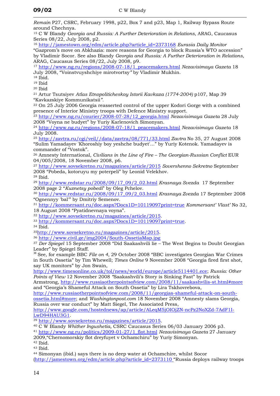$\overline{a}$ *Remain* P27, CSRC, February 1998, p22, Box 7 and p23, Map 1, Railway Bypass Route around Chechnya.

15 C W Blandy *Georgia and Russia: A Further Deterioration in Relations*, ARAG, Caucasus Series 08/22, July 2008, p2.

<sup>16</sup> [http://jamestown.org/edm/article.php?article\\_id=2373168](http://jamestown.org/edm/article.php?article_id=2373168) *Eurasia Daily Monitor* "Gazprom's move on Abkhazia: more reasons for Georgia to block Russia's WTO accession" by Vladimir Socor. See also Blandy *Georgia and Russia: A Further Deterioration in Relations*, ARAG, Caucasus Series 08/22, July 2008, p9.

<sup>17</sup> [http://www.ng.ru/regions/2008-07-18/1\\_peacemakers.html](http://www.ng.ru/regions/2008-07-18/1_peacemakers.html) *Nezavisimaya Gazeta* 18 July 2008, "Voinstvuyshchiye mirotvortsy*"* by Vladimir Mukhin.

18 Ibid.

19 Ibid

20 Ibid

21 Artur Tsutsiyev *Atlas Etnopoliticheskoy Istorii Kavkaza (1774-2004)* p107, Map 39 "Kavkazskiye Kommunikatsii*".*

22 On 25 July 2006 Georgia reasserted control of the upper Kodori Gorge with a combined presence of Interior Ministry troops with Defence Ministry support.

<sup>23</sup> [http://www.ng.ru/courier/2008-07-28/12\\_georgia.html](http://www.ng.ru/courier/2008-07-28/12_georgia.html) *Nezavisimaya Gazeta* 28 July 2008 "Voyna ne budyet" by Yuriy Karlenovich Simonyan.

<sup>24</sup> [http://www.ng.ru/regions/2008-07-18/1\\_peacemakers.html](http://www.ng.ru/regions/2008-07-18/1_peacemakers.html) *Nezavisimaya Gazeta* 18 July 2008.

<sup>25</sup> <http://zavtra.ru/cgi/veil//data/zavtra/08/771/33.html> *Zavtra* No 35, 27 August 2008 "Sulim Yamadayev 'Khoroshiy boy yeshche budyet'..." by Yuriy Kotenok. Yamadayev is commander of "Vostok".

<sup>26</sup> Amnesty International, *Civilians in the Line of Fire - The Georgian-Russian Conflict EUR* 04/005/2008, 18 November 2008, p6.

<sup>27</sup> <http://www.sovsekretno.ru/magazines/article/2015> *Sovershenno Sekretno* September 2008 "Pobeda, kotoruyu my poterpeli" by Leonid Velekhov. 28 Ibid.

<sup>29</sup> [http://www.redstar.ru/2008/09/17\\_09/2\\_02.html](http://www.redstar.ru/2008/09/17_09/2_02.html) *Krasnaya Svezda* 17 September 2008 page 2 "*Kuznetsy pobedi*" by Oleg Pchelov.

<sup>30</sup> [http://www.redstar.ru/2008/09/17\\_09/2\\_03.html](http://www.redstar.ru/2008/09/17_09/2_03.html) *Krasnaya Zvezda* 17 September 2008 "Ognennyy 'bal'" by Dmitriy Semenov.

<sup>31</sup> <http://kommersant.ru/doc.aspx?Docs1D=10119097print=true> *Kommersant' Vlast'* No 32, 18 August 2008 "Pyatidnevnaya voyna".

<sup>32</sup> <http://www.sovsekretno.ru/magazines/article/2015>. 33 <http://kommersant.ru/doc.aspx?Docs1D=10119097print=true>*.*

34 Ibid.

35<http://www.sovsekretno.ru/magazines/article/2015>. 36 <http://www.civil.ge/img2004/South-OssetiaMap.jpg>

<sup>37</sup> *Der Spiegel* 15 September 2008 "Did Saakashvili lie – The West Begins to Doubt Georgian Leader" by Spiegel Staff.

<sup>38</sup> See, for example BBC *File on 4,* 29 October 2008 "BBC investigates Georgian War Crimes in South Ossetia" by Tim Whewell; *Times Online* 9 November 2008 "Georgia fired first shot, say UK monitors" by Jon Swain,

<http://www.timesonline.co.uk/tol/news/world/europe/article5114401.ece>; *Russia: Other Points of View* 12 November 2008 *"*Saakashvili's Story is Sinking Fast" by Patrick

Armstrong, http://www.russiaotherpointsofview.com/2008/11/saakashvilis-st.html#more and "Georgia's Shameful Attack on South Ossetia" by Lira Tskhovrebova,

http://www.russiaotherpointsofview.com/2008/11/georgias-shameful-attack-on-southossetia.html#more; and *Washingtonpost.com* 18 November 2008 "Amnesty slams Georgia, Russia over war conduct" by Matt Siegel, The Associated Press,

[http://www.google.com/hostednews/ap/article/ALeqM5jOIOjZN-ncPz2NoXZd-7AdF1I-](http://www.google.com/hostednews/ap/article/ALeqM5jOIOjZN-ncPz2NoXZd-7AdF1I-LwD94HAU3G1)

IwD94HAU3G1.<br><sup>39</sup> <http://www.sovsekretno.ru/magazines/article/2015>.<br><sup>40</sup> C W Blandy *Whither Ingushetia*, CSRC Caucasus Series 06/03 January 2006 p3.<br><sup>41</sup> [http://www.ng.ru/politics/2009-01-27/1\\_flot.html](http://www.ng.ru/politics/2009-01-27/1_flot.html) *Nezavisimaya Gaze* 

2009,"Chernomorskiy flot dreyfuyet v Ochamchiru" by Yuriy Simonyan.

42 Ibid.

43 Ibid.

44 Simonyan (ibid.) says there is no deep water at Ochamchire, whilst Socor ([http://jamestown.org/edm/article.php?article\\_id=2373110](http://jamestown.org/edm/article.php?article_id=2373110) "Russia deploys railway troops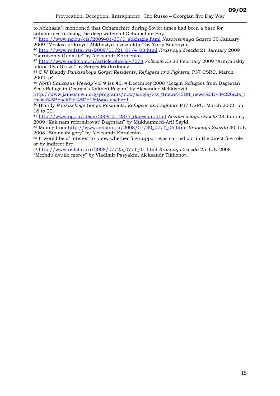$\overline{a}$ to Abkhazia") mentioned that Ochamchire during Soviet times had been a base for submarines utilising the deep waters of Ochamchire Bay.

<sup>45</sup> [http://www.ng.ru/cis/2009-01-30/1\\_abkhazia.html](http://www.ng.ru/cis/2009-01-30/1_abkhazia.html) *Nezavisimaya Gazeta* 30 January 2009 "Moskva prikroyet Abkhaziyu s vozdukha" by Yuriy Simonyan.

<sup>46</sup> [http://www.redstar.ru/2009/01/21\\_01/4\\_03.html](http://www.redstar.ru/2009/01/21_01/4_03.html) *Krasnaya Zvezda* 21 January 2009 "Garnizon v Gudaute" by Aleksandr Khrolenko.

<sup>47</sup> <http://www.politcom.ru/article.php?id=7578> *Politcom.Ru* 20 February 2009 "Armyanskiy faktor dlya Gruzii" by Sergey Markedonov.

48 C W Blandy *Pankisskoye Gorge: Residents, Refugees and Fighters,* P37 CSRC, March 2002, p4.

<sup>49</sup> *North Caucasus Weekly* Vol 9 Iss 46, 4 December 2008 "Lezgin Refugees from Dagestan Seek Refuge in Georgia's Kakheti Region" by Alexander Melikishvili.

[http://www.jamestown.org/programs/ncw/single/?tx\\_ttnews%5Btt\\_news%5D=34226&tx\\_t](http://www.jamestown.org/programs/ncw/single/?tx_ttnews%5Btt_news%5D=34226&tx_ttnews%5BbackPid%5D=169&no_cache=1) [tnews%5BbackPid%5D=169&no\\_cache=1](http://www.jamestown.org/programs/ncw/single/?tx_ttnews%5Btt_news%5D=34226&tx_ttnews%5BbackPid%5D=169&no_cache=1). 50 Blandy *Pankisskoye Gorge: Residents, Refugees and Fighters* P37 CSRC, March 2002, pp

16 to 20.

<sup>51</sup> [http://www.ng.ru/ideas/2009-01-28/7\\_dagestan.html](http://www.ng.ru/ideas/2009-01-28/7_dagestan.html) *Nezavisimaya Gazeta* 28 January 2009 "Kak nam reformirovat' Dagestan" by Mukhammed-Arif Sayki.

52 Mainly from [http://www.redstar.ru/2008/07/30\\_07/1\\_06.html](http://www.redstar.ru/2008/07/30_07/1_06.html) *Krasnaya Zvezda* 30 July 2008 "Eto nashi gory" by Aleksandr Khrolenko.

53 It would be of interest to know whether fire support was carried out in the direct fire role or by indirect fire.

<sup>54</sup> [http://www.redstar.ru/2008/07/25\\_07/1\\_01.html](http://www.redstar.ru/2008/07/25_07/1_01.html) *Krasnaya Zvezda* 25 July 2008 "Mezhdu dvukh morey" by Vladimir Pasyakin, Aleksandr Tikhonov.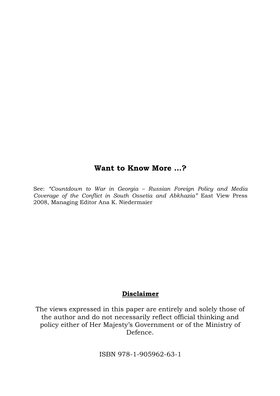## **Want to Know More …?**

See: *"Countdown to War in Georgia – Russian Foreign Policy and Media Coverage of the Conflict in South Ossetia and Abkhazia"* East View Press 2008, Managing Editor Ana K. Niedermaier

### **Disclaimer**

The views expressed in this paper are entirely and solely those of the author and do not necessarily reflect official thinking and policy either of Her Majesty's Government or of the Ministry of Defence.

ISBN 978-1-905962-63-1